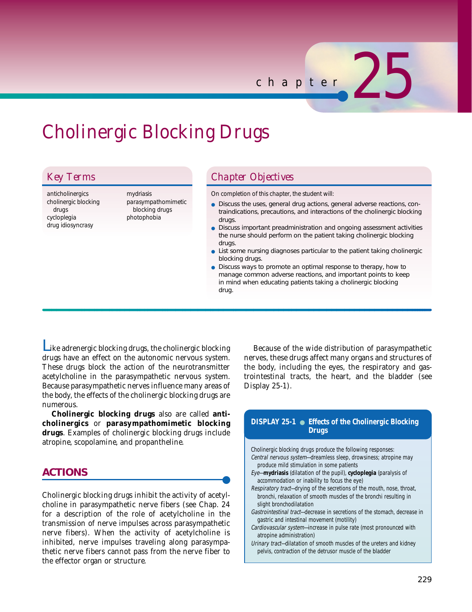# Cholinergic Blocking Drugs

*anticholinergics cholinergic blocking drugs cycloplegia drug idiosyncrasy*

*mydriasis parasympathomimetic blocking drugs photophobia*

# *Key Terms Chapter Objectives*

*On completion of this chapter, the student will:* 

- Discuss the uses, general drug actions, general adverse reactions, contraindications, precautions, and interactions of the cholinergic blocking drugs.
- Discuss important preadministration and ongoing assessment activities the nurse should perform on the patient taking cholinergic blocking drugs.
- List some nursing diagnoses particular to the patient taking cholinergic blocking drugs.
- Discuss ways to promote an optimal response to therapy, how to manage common adverse reactions, and important points to keep in mind when educating patients taking a cholinergic blocking drug.

Like adrenergic blocking drugs, the cholinergic blocking drugs have an effect on the autonomic nervous system. These drugs block the action of the neurotransmitter acetylcholine in the parasympathetic nervous system. Because parasympathetic nerves influence many areas of the body, the effects of the cholinergic blocking drugs are numerous.

**Cholinergic blocking drugs** also are called **anticholinergics** or **parasympathomimetic blocking drugs**. Examples of cholinergic blocking drugs include atropine, scopolamine, and propantheline.

# **ACTIONS** ●

Cholinergic blocking drugs inhibit the activity of acetylcholine in parasympathetic nerve fibers (see Chap. 24 for a description of the role of acetylcholine in the transmission of nerve impulses across parasympathetic nerve fibers). When the activity of acetylcholine is inhibited, nerve impulses traveling along parasympathetic nerve fibers cannot pass from the nerve fiber to the effector organ or structure.

Because of the wide distribution of parasympathetic nerves, these drugs affect many organs and structures of the body, including the eyes, the respiratory and gastrointestinal tracts, the heart, and the bladder (see Display 25-1).

#### **DISPLAY 25-1** ● **Effects of the Cholinergic Blocking Drugs**

Cholinergic blocking drugs produce the following responses: Central nervous system—dreamless sleep, drowsiness; atropine may produce mild stimulation in some patients Eye—**mydriasis** (dilatation of the pupil), **cycloplegia** (paralysis of

- accommodation or inability to focus the eye) Respiratory tract-drying of the secretions of the mouth, nose, throat, bronchi, relaxation of smooth muscles of the bronchi resulting in slight bronchodilatation
- Gastrointestinal tract-decrease in secretions of the stomach, decrease in gastric and intestinal movement (motility)
- Cardiovascular system-increase in pulse rate (most pronounced with atropine administration)
- Urinary tract-dilatation of smooth muscles of the ureters and kidney pelvis, contraction of the detrusor muscle of the bladder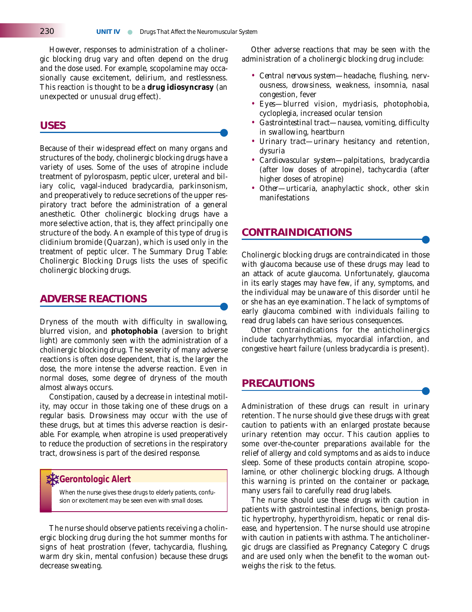However, responses to administration of a cholinergic blocking drug vary and often depend on the drug and the dose used. For example, scopolamine may occasionally cause excitement, delirium, and restlessness. This reaction is thought to be a **drug idiosyncrasy** (an unexpected or unusual drug effect).

# **USES** ●

Because of their widespread effect on many organs and structures of the body, cholinergic blocking drugs have a variety of uses. Some of the uses of atropine include treatment of pylorospasm, peptic ulcer, ureteral and biliary colic, vagal-induced bradycardia, parkinsonism, and preoperatively to reduce secretions of the upper respiratory tract before the administration of a general anesthetic. Other cholinergic blocking drugs have a more selective action, that is, they affect principally one structure of the body. An example of this type of drug is clidinium bromide (Quarzan), which is used only in the treatment of peptic ulcer. The Summary Drug Table: Cholinergic Blocking Drugs lists the uses of specific cholinergic blocking drugs.

## **ADVERSE REACTIONS**

Dryness of the mouth with difficulty in swallowing, blurred vision, and **photophobia** (aversion to bright light) are commonly seen with the administration of a cholinergic blocking drug. The severity of many adverse reactions is often dose dependent, that is, the larger the dose, the more intense the adverse reaction. Even in normal doses, some degree of dryness of the mouth almost always occurs.

Constipation, caused by a decrease in intestinal motility, may occur in those taking one of these drugs on a regular basis. Drowsiness may occur with the use of these drugs, but at times this adverse reaction is desirable. For example, when atropine is used preoperatively to reduce the production of secretions in the respiratory tract, drowsiness is part of the desired response.

#### ❄**Gerontologic Alert**

*When the nurse gives these drugs to elderly patients, confusion or excitement may be seen even with small doses.* 

The nurse should observe patients receiving a cholinergic blocking drug during the hot summer months for signs of heat prostration (fever, tachycardia, flushing, warm dry skin, mental confusion) because these drugs decrease sweating.

Other adverse reactions that may be seen with the administration of a cholinergic blocking drug include:

- *Central nervous system*—headache, flushing, nervousness, drowsiness, weakness, insomnia, nasal congestion, fever
- *Eyes*—blurred vision, mydriasis, photophobia, cycloplegia, increased ocular tension
- *Gastrointestinal tract*—nausea, vomiting, difficulty in swallowing, heartburn
- *Urinary tract*—urinary hesitancy and retention, dysuria
- *Cardiovascular system*—palpitations, bradycardia (after low doses of atropine), tachycardia (after higher doses of atropine)
- *Other*—urticaria, anaphylactic shock, other skin manifestations

# **CONTRAINDICATIONS** ●

Cholinergic blocking drugs are contraindicated in those with glaucoma because use of these drugs may lead to an attack of acute glaucoma. Unfortunately, glaucoma in its early stages may have few, if any, symptoms, and the individual may be unaware of this disorder until he or she has an eye examination. The lack of symptoms of early glaucoma combined with individuals failing to read drug labels can have serious consequences.

Other contraindications for the anticholinergics include tachyarrhythmias, myocardial infarction, and congestive heart failure (unless bradycardia is present).

### **PRECAUTIONS**

Administration of these drugs can result in urinary retention. The nurse should give these drugs with great caution to patients with an enlarged prostate because urinary retention may occur. This caution applies to some over-the-counter preparations available for the relief of allergy and cold symptoms and as aids to induce sleep. Some of these products contain atropine, scopolamine, or other cholinergic blocking drugs. Although this warning is printed on the container or package, many users fail to carefully read drug labels.

The nurse should use these drugs with caution in patients with gastrointestinal infections, benign prostatic hypertrophy, hyperthyroidism, hepatic or renal disease, and hypertension. The nurse should use atropine with caution in patients with asthma. The anticholinergic drugs are classified as Pregnancy Category C drugs and are used only when the benefit to the woman outweighs the risk to the fetus.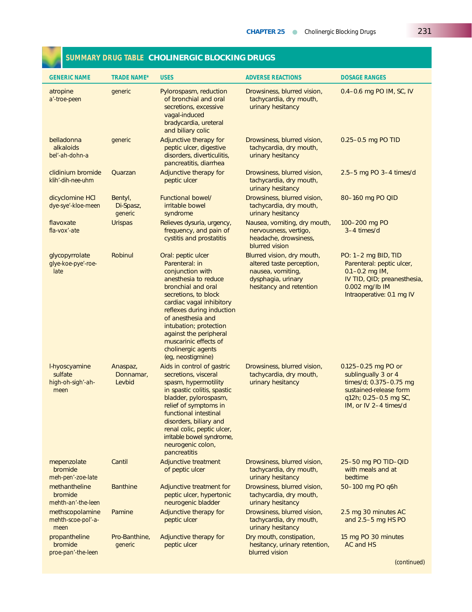| <b>GENERIC NAME</b>                                   | <b>TRADE NAME*</b>              | <b>USES</b>                                                                                                                                                                                                                                                                                                                          | <b>ADVERSE REACTIONS</b>                                                                                                      | <b>DOSAGE RANGES</b>                                                                                                                                 |
|-------------------------------------------------------|---------------------------------|--------------------------------------------------------------------------------------------------------------------------------------------------------------------------------------------------------------------------------------------------------------------------------------------------------------------------------------|-------------------------------------------------------------------------------------------------------------------------------|------------------------------------------------------------------------------------------------------------------------------------------------------|
| atropine<br>a'-troe-peen                              | generic                         | Pylorospasm, reduction<br>of bronchial and oral<br>secretions, excessive<br>vagal-induced<br>bradycardia, ureteral<br>and biliary colic                                                                                                                                                                                              | Drowsiness, blurred vision,<br>tachycardia, dry mouth,<br>urinary hesitancy                                                   | 0.4-0.6 mg PO IM, SC, IV                                                                                                                             |
| belladonna<br>alkaloids<br>bel'-ah-dohn-a             | generic                         | Adjunctive therapy for<br>peptic ulcer, digestive<br>disorders, diverticulitis,<br>pancreatitis, diarrhea                                                                                                                                                                                                                            | Drowsiness, blurred vision,<br>tachycardia, dry mouth,<br>urinary hesitancy                                                   | $0.25 - 0.5$ mg PO TID                                                                                                                               |
| clidinium bromide<br>klih'-dih-nee-uhm                | Quarzan                         | Adjunctive therapy for<br>peptic ulcer                                                                                                                                                                                                                                                                                               | Drowsiness, blurred vision,<br>tachycardia, dry mouth,<br>urinary hesitancy                                                   | 2.5-5 mg PO 3-4 times/d                                                                                                                              |
| dicyclomine HCI<br>dye-sye'-kloe-meen                 | Bentyl,<br>Di-Spasz,<br>generic | <b>Functional bowel/</b><br><i>irritable</i> bowel<br>syndrome                                                                                                                                                                                                                                                                       | Drowsiness, blurred vision,<br>tachycardia, dry mouth,<br>urinary hesitancy                                                   | 80-160 mg PO QID                                                                                                                                     |
| flavoxate<br>fla-vox'-ate                             | <b>Urispas</b>                  | Relieves dysuria, urgency,<br>frequency, and pain of<br>cystitis and prostatitis                                                                                                                                                                                                                                                     | Nausea, vomiting, dry mouth,<br>nervousness, vertigo,<br>headache, drowsiness,<br>blurred vision                              | 100-200 mg PO<br>$3-4$ times/d                                                                                                                       |
| qlycopyrrolate<br>glye-koe-pye'-roe-<br>late          | Robinul                         | Oral: peptic ulcer<br>Parenteral: in<br>conjunction with<br>anesthesia to reduce<br>bronchial and oral<br>secretions, to block<br>cardiac vagal inhibitory<br>reflexes during induction<br>of anesthesia and<br>intubation; protection<br>against the peripheral<br>muscarinic effects of<br>cholinergic agents<br>(eg, neostigmine) | Blurred vision, dry mouth,<br>altered taste perception,<br>nausea, vomiting,<br>dysphagia, urinary<br>hesitancy and retention | PO: 1-2 mg BID, TID<br>Parenteral: peptic ulcer,<br>$0.1 - 0.2$ mg IM,<br>IV TID, QID; preanesthesia,<br>0.002 mg/lb IM<br>Intraoperative: 0.1 mg IV |
| I-hyoscyamine<br>sulfate<br>high-oh-sigh'-ah-<br>meen | Anaspaz,<br>Donnamar,<br>Levbid | Aids in control of gastric<br>secretions, visceral<br>spasm, hypermotility<br>in spastic colitis, spastic<br>bladder, pylorospasm,<br>relief of symptoms in<br>functional intestinal<br>disorders, biliary and<br>renal colic, peptic ulcer,<br>irritable bowel syndrome,<br>neurogenic colon,<br>pancreatitis                       | Drowsiness, blurred vision,<br>tachycardia, dry mouth,<br>urinary hesitancy                                                   | 0.125-0.25 mg PO or<br>sublingually 3 or 4<br>times/d; 0.375-0.75 mg<br>sustained-release form<br>q12h; 0.25-0.5 mg SC,<br>IM, or IV 2-4 times/d     |
| mepenzolate<br>bromide<br>meh-pen'-zoe-late           | Cantil                          | <b>Adjunctive treatment</b><br>of peptic ulcer                                                                                                                                                                                                                                                                                       | Drowsiness, blurred vision,<br>tachycardia, dry mouth,<br>urinary hesitancy                                                   | 25-50 mg PO TID-QID<br>with meals and at<br>bedtime                                                                                                  |
| methantheline<br>bromide<br>mehth-an'-the-leen        | <b>Banthine</b>                 | Adjunctive treatment for<br>peptic ulcer, hypertonic<br>neurogenic bladder                                                                                                                                                                                                                                                           | Drowsiness, blurred vision,<br>tachycardia, dry mouth,<br>urinary hesitancy                                                   | 50-100 mg PO q6h                                                                                                                                     |
| methscopolamine<br>mehth-scoe-pol'-a-<br>meen         | Pamine                          | Adjunctive therapy for<br>peptic ulcer                                                                                                                                                                                                                                                                                               | Drowsiness, blurred vision,<br>tachycardia, dry mouth,<br>urinary hesitancy                                                   | 2.5 mg 30 minutes AC<br>and 2.5-5 mg HS PO                                                                                                           |
| propantheline<br>bromide<br>proe-pan'-the-leen        | Pro-Banthine,<br>generic        | Adjunctive therapy for<br>peptic ulcer                                                                                                                                                                                                                                                                                               | Dry mouth, constipation,<br>hesitancy, urinary retention,<br>blurred vision                                                   | 15 mg PO 30 minutes<br>AC and HS                                                                                                                     |
|                                                       |                                 |                                                                                                                                                                                                                                                                                                                                      |                                                                                                                               | (continued)                                                                                                                                          |

# **SUMMARY DRUG TABLE CHOLINERGIC BLOCKING DRUGS**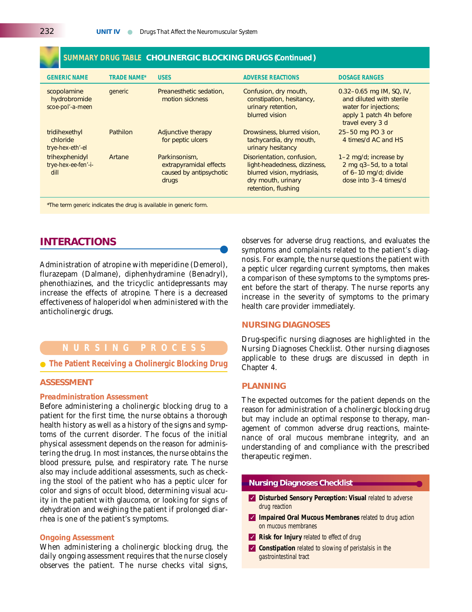| <b>GENERIC NAME</b>                             | <b>TRADE NAME*</b> | <b>USES</b>                                                                 | <b>ADVERSE REACTIONS</b>                                                                                                              | <b>DOSAGE RANGES</b>                                                                                                             |
|-------------------------------------------------|--------------------|-----------------------------------------------------------------------------|---------------------------------------------------------------------------------------------------------------------------------------|----------------------------------------------------------------------------------------------------------------------------------|
| scopolamine<br>hydrobromide<br>scoe-pol'-a-meen | generic            | Preanesthetic sedation,<br>motion sickness                                  | Confusion, dry mouth,<br>constipation, hesitancy,<br>urinary retention,<br>blurred vision                                             | $0.32 - 0.65$ mg IM, SQ, IV,<br>and diluted with sterile<br>water for injections;<br>apply 1 patch 4h before<br>travel every 3 d |
| tridihexethyl<br>chloride<br>trye-hex-eth'-el   | <b>Pathilon</b>    | <b>Adjunctive therapy</b><br>for peptic ulcers                              | Drowsiness, blurred vision,<br>tachycardia, dry mouth,<br>urinary hesitancy                                                           | 25-50 mg PO 3 or<br>4 times/d AC and HS                                                                                          |
| trihexphenidyl<br>trye-hex-ee-fen'-i-<br>dill   | Artane             | Parkinsonism.<br>extrapyramidal effects<br>caused by antipsychotic<br>drugs | Disorientation, confusion,<br>light-headedness, dizziness,<br>blurred vision, mydriasis,<br>dry mouth, urinary<br>retention, flushing | $1-2$ mg/d; increase by<br>2 mg q3-5d, to a total<br>of 6-10 mg/d; divide<br>dose into 3-4 times/d                               |
|                                                 |                    |                                                                             |                                                                                                                                       |                                                                                                                                  |

#### **SUMMARY DRUG TABLE CHOLINERGIC BLOCKING DRUGS (***Continued***)**

\*The term *generic* indicates the drug is available in generic form.

# **INTERACTIONS**

Administration of atropine with meperidine (Demerol), flurazepam (Dalmane), diphenhydramine (Benadryl), phenothiazines, and the tricyclic antidepressants may increase the effects of atropine. There is a decreased effectiveness of haloperidol when administered with the anticholinergic drugs.

● **The Patient Receiving a Cholinergic Blocking Drug**

#### **ASSESSMENT**

#### *Preadministration Assessment*

Before administering a cholinergic blocking drug to a patient for the first time, the nurse obtains a thorough health history as well as a history of the signs and symptoms of the current disorder. The focus of the initial physical assessment depends on the reason for administering the drug. In most instances, the nurse obtains the blood pressure, pulse, and respiratory rate. The nurse also may include additional assessments, such as checking the stool of the patient who has a peptic ulcer for color and signs of occult blood, determining visual acuity in the patient with glaucoma, or looking for signs of dehydration and weighing the patient if prolonged diarrhea is one of the patient's symptoms.

#### *Ongoing Assessment*

When administering a cholinergic blocking drug, the daily ongoing assessment requires that the nurse closely observes the patient. The nurse checks vital signs,

observes for adverse drug reactions, and evaluates the symptoms and complaints related to the patient's diagnosis. For example, the nurse questions the patient with a peptic ulcer regarding current symptoms, then makes a comparison of these symptoms to the symptoms present before the start of therapy. The nurse reports any increase in the severity of symptoms to the primary health care provider immediately.

#### **NURSING DIAGNOSES**

Drug-specific nursing diagnoses are highlighted in the Nursing Diagnoses Checklist. Other nursing diagnoses applicable to these drugs are discussed in depth in Chapter 4.

#### **PLANNING**

The expected outcomes for the patient depends on the reason for administration of a cholinergic blocking drug but may include an optimal response to therapy, management of common adverse drug reactions, maintenance of oral mucous membrane integrity, and an understanding of and compliance with the prescribed therapeutic regimen.

#### **Nursing Diagnoses Checklist**

- ✓ **Disturbed Sensory Perception: Visual** related to adverse drug reaction
- ✓ **Impaired Oral Mucous Membranes** related to drug action on mucous membranes
- ✓ **Risk for Injury** related to effect of drug
- **✓ Constipation** related to slowing of peristalsis in the gastrointestinal tract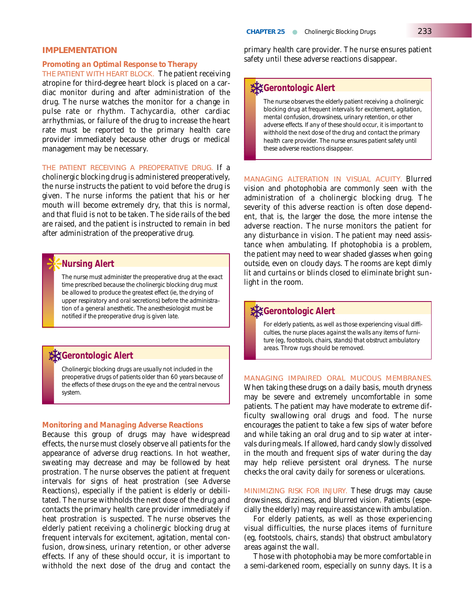#### **IMPLEMENTATION**

#### *Promoting an Optimal Response to Therapy*

THE PATIENT WITH HEART BLOCK. The patient receiving atropine for third-degree heart block is placed on a cardiac monitor during and after administration of the drug. The nurse watches the monitor for a change in pulse rate or rhythm. Tachycardia, other cardiac arrhythmias, or failure of the drug to increase the heart rate must be reported to the primary health care provider immediately because other drugs or medical management may be necessary.

#### THE PATIENT RECEIVING A PREOPERATIVE DRUG. If a

cholinergic blocking drug is administered preoperatively, the nurse instructs the patient to void before the drug is given. The nurse informs the patient that his or her mouth will become extremely dry, that this is normal, and that fluid is not to be taken. The side rails of the bed are raised, and the patient is instructed to remain in bed after administration of the preoperative drug.

#### ❊**Nursing Alert**

*The nurse must administer the preoperative drug at the exact time prescribed because the cholinergic blocking drug must be allowed to produce the greatest effect (ie, the drying of upper respiratory and oral secretions) before the administration of a general anesthetic. The anesthesiologist must be notified if the preoperative drug is given late.* 

#### ❄**Gerontologic Alert**

*Cholinergic blocking drugs are usually not included in the preoperative drugs of patients older than 60 years because of the effects of these drugs on the eye and the central nervous system.* 

#### *Monitoring and Managing Adverse Reactions*

Because this group of drugs may have widespread effects, the nurse must closely observe all patients for the appearance of adverse drug reactions. In hot weather, sweating may decrease and may be followed by heat prostration. The nurse observes the patient at frequent intervals for signs of heat prostration (see Adverse Reactions), especially if the patient is elderly or debilitated. The nurse withholds the next dose of the drug and contacts the primary health care provider immediately if heat prostration is suspected. The nurse observes the elderly patient receiving a cholinergic blocking drug at frequent intervals for excitement, agitation, mental confusion, drowsiness, urinary retention, or other adverse effects. If any of these should occur, it is important to withhold the next dose of the drug and contact the primary health care provider. The nurse ensures patient safety until these adverse reactions disappear.

### ❄**Gerontologic Alert**

*The nurse observes the elderly patient receiving a cholinergic blocking drug at frequent intervals for excitement, agitation, mental confusion, drowsiness, urinary retention, or other adverse effects. If any of these should occur, it is important to withhold the next dose of the drug and contact the primary health care provider. The nurse ensures patient safety until these adverse reactions disappear.* 

MANAGING ALTERATION IN VISUAL ACUITY. Blurred vision and photophobia are commonly seen with the administration of a cholinergic blocking drug. The severity of this adverse reaction is often dose dependent, that is, the larger the dose, the more intense the adverse reaction. The nurse monitors the patient for any disturbance in vision. The patient may need assistance when ambulating. If photophobia is a problem, the patient may need to wear shaded glasses when going outside, even on cloudy days. The rooms are kept dimly lit and curtains or blinds closed to eliminate bright sunlight in the room.

#### ❄**Gerontologic Alert**

*For elderly patients, as well as those experiencing visual difficulties, the nurse places against the walls any items of furniture (eg, footstools, chairs, stands) that obstruct ambulatory areas. Throw rugs should be removed.* 

#### MANAGING IMPAIRED ORAL MUCOUS MEMBRANES.

When taking these drugs on a daily basis, mouth dryness may be severe and extremely uncomfortable in some patients. The patient may have moderate to extreme difficulty swallowing oral drugs and food. The nurse encourages the patient to take a few sips of water before and while taking an oral drug and to sip water at intervals during meals. If allowed, hard candy slowly dissolved in the mouth and frequent sips of water during the day may help relieve persistent oral dryness. The nurse checks the oral cavity daily for soreness or ulcerations.

MINIMIZING RISK FOR INJURY. These drugs may cause drowsiness, dizziness, and blurred vision. Patients (especially the elderly) may require assistance with ambulation.

For elderly patients, as well as those experiencing visual difficulties, the nurse places items of furniture (eg, footstools, chairs, stands) that obstruct ambulatory areas against the wall.

Those with photophobia may be more comfortable in a semi-darkened room, especially on sunny days. It is a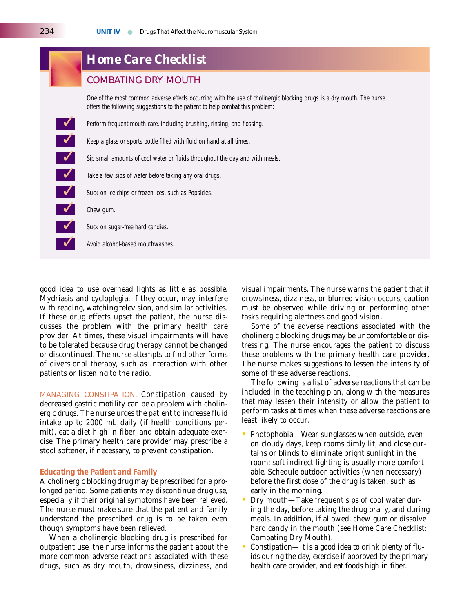

good idea to use overhead lights as little as possible. Mydriasis and cycloplegia, if they occur, may interfere with reading, watching television, and similar activities. If these drug effects upset the patient, the nurse discusses the problem with the primary health care provider. At times, these visual impairments will have to be tolerated because drug therapy cannot be changed or discontinued. The nurse attempts to find other forms of diversional therapy, such as interaction with other patients or listening to the radio.

MANAGING CONSTIPATION. Constipation caused by decreased gastric motility can be a problem with cholinergic drugs. The nurse urges the patient to increase fluid intake up to 2000 mL daily (if health conditions permit), eat a diet high in fiber, and obtain adequate exercise. The primary health care provider may prescribe a stool softener, if necessary, to prevent constipation.

#### *Educating the Patient and Family*

A cholinergic blocking drug may be prescribed for a prolonged period. Some patients may discontinue drug use, especially if their original symptoms have been relieved. The nurse must make sure that the patient and family understand the prescribed drug is to be taken even though symptoms have been relieved.

When a cholinergic blocking drug is prescribed for outpatient use, the nurse informs the patient about the more common adverse reactions associated with these drugs, such as dry mouth, drowsiness, dizziness, and visual impairments. The nurse warns the patient that if drowsiness, dizziness, or blurred vision occurs, caution must be observed while driving or performing other tasks requiring alertness and good vision.

Some of the adverse reactions associated with the cholinergic blocking drugs may be uncomfortable or distressing. The nurse encourages the patient to discuss these problems with the primary health care provider. The nurse makes suggestions to lessen the intensity of some of these adverse reactions.

The following is a list of adverse reactions that can be included in the teaching plan, along with the measures that may lessen their intensity or allow the patient to perform tasks at times when these adverse reactions are least likely to occur.

- Photophobia—Wear sunglasses when outside, even on cloudy days, keep rooms dimly lit, and close curtains or blinds to eliminate bright sunlight in the room; soft indirect lighting is usually more comfortable. Schedule outdoor activities (when necessary) before the first dose of the drug is taken, such as early in the morning.
- Dry mouth—Take frequent sips of cool water during the day, before taking the drug orally, and during meals. In addition, if allowed, chew gum or dissolve hard candy in the mouth (see Home Care Checklist: Combating Dry Mouth).
- Constipation—It is a good idea to drink plenty of fluids during the day, exercise if approved by the primary health care provider, and eat foods high in fiber.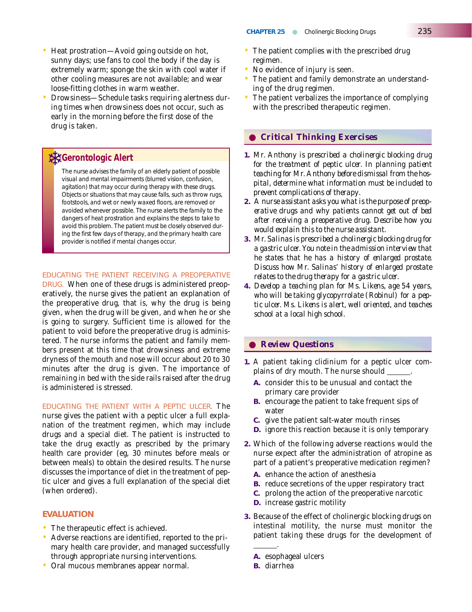- Heat prostration—Avoid going outside on hot, sunny days; use fans to cool the body if the day is extremely warm; sponge the skin with cool water if other cooling measures are not available; and wear loose-fitting clothes in warm weather.
- Drowsiness—Schedule tasks requiring alertness during times when drowsiness does not occur, such as early in the morning before the first dose of the drug is taken.

# ❄**Gerontologic Alert**

*The nurse advises the family of an elderly patient of possible visual and mental impairments (blurred vision, confusion, agitation) that may occur during therapy with these drugs. Objects or situations that may cause falls, such as throw rugs, footstools, and wet or newly waxed floors, are removed or avoided whenever possible. The nurse alerts the family to the dangers of heat prostration and explains the steps to take to avoid this problem. The patient must be closely observed during the first few days of therapy, and the primary health care provider is notified if mental changes occur.*

EDUCATING THE PATIENT RECEIVING A PREOPERATIVE

DRUG. When one of these drugs is administered preoperatively, the nurse gives the patient an explanation of the preoperative drug, that is, why the drug is being given, when the drug will be given, and when he or she is going to surgery. Sufficient time is allowed for the patient to void before the preoperative drug is administered. The nurse informs the patient and family members present at this time that drowsiness and extreme dryness of the mouth and nose will occur about 20 to 30 minutes after the drug is given. The importance of remaining in bed with the side rails raised after the drug is administered is stressed.

EDUCATING THE PATIENT WITH A PEPTIC ULCER. The nurse gives the patient with a peptic ulcer a full explanation of the treatment regimen, which may include drugs and a special diet. The patient is instructed to take the drug exactly as prescribed by the primary health care provider (eg, 30 minutes before meals or between meals) to obtain the desired results. The nurse discusses the importance of diet in the treatment of peptic ulcer and gives a full explanation of the special diet (when ordered).

#### **EVALUATION**

- The therapeutic effect is achieved.
- Adverse reactions are identified, reported to the primary health care provider, and managed successfully through appropriate nursing interventions.
- Oral mucous membranes appear normal.
- The patient complies with the prescribed drug regimen.
- No evidence of injury is seen.
- The patient and family demonstrate an understanding of the drug regimen.
- The patient verbalizes the importance of complying with the prescribed therapeutic regimen.

## ● *Critical Thinking Exercises*

- **1.** *Mr. Anthony is prescribed a cholinergic blocking drug for the treatment of peptic ulcer. In planning patient teaching for Mr. Anthony before dismissal from the hospital, determine what information must be included to prevent complications of therapy.*
- **2.** *A nurse assistant asks you what is the purpose of preoperative drugs and why patients cannot get out of bed after receiving a preoperative drug. Describe how you would explain this to the nurse assistant.*
- **3.** *Mr. Salinas is prescribed a cholinergic blocking drug for a gastric ulcer. You note in the admission interview that he states that he has a history of enlarged prostate. Discuss how Mr. Salinas' history of enlarged prostate relates to the drug therapy for a gastric ulcer.*
- **4.** *Develop a teaching plan for Ms. Likens, age 54 years, who will be taking glycopyrrolate (Robinul) for a peptic ulcer. Ms. Likens is alert, well oriented, and teaches school at a local high school.*

#### ● *Review Questions*

- **1.** A patient taking clidinium for a peptic ulcer complains of dry mouth. The nurse should .
	- **A.** consider this to be unusual and contact the primary care provider
	- **B.** encourage the patient to take frequent sips of water
	- **C.** give the patient salt-water mouth rinses
	- **D.** ignore this reaction because it is only temporary
- **2.** Which of the following adverse reactions would the nurse expect after the administration of atropine as part of a patient's preoperative medication regimen?
	- **A.** enhance the action of anesthesia
	- **B.** reduce secretions of the upper respiratory tract
	- **C.** prolong the action of the preoperative narcotic
	- **D.** increase gastric motility
- **3.** Because of the effect of cholinergic blocking drugs on intestinal motility, the nurse must monitor the patient taking these drugs for the development of .
	- **A.** esophageal ulcers
	- **B.** diarrhea